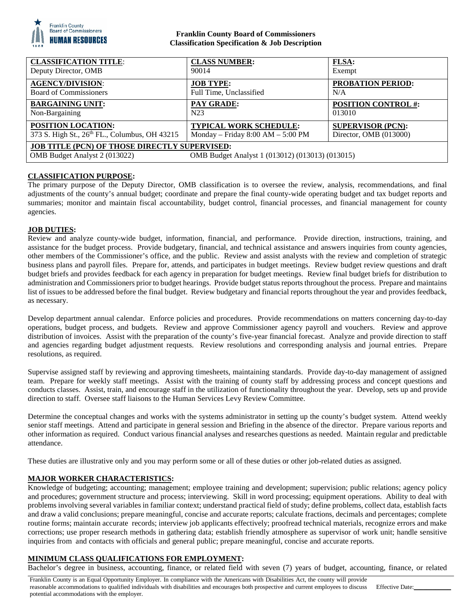

### **Franklin County Board of Commissioners Classification Specification & Job Description**

| <b>CLASSIFICATION TITLE:</b>                                                                                                             | <b>CLASS NUMBER:</b>                | <b>FLSA:</b>               |
|------------------------------------------------------------------------------------------------------------------------------------------|-------------------------------------|----------------------------|
| Deputy Director, OMB                                                                                                                     | 90014                               | Exempt                     |
| <b>AGENCY/DIVISION:</b>                                                                                                                  | <b>JOB TYPE:</b>                    | <b>PROBATION PERIOD:</b>   |
| <b>Board of Commissioners</b>                                                                                                            | Full Time, Unclassified             | N/A                        |
| <b>BARGAINING UNIT:</b>                                                                                                                  | <b>PAY GRADE:</b>                   | <b>POSITION CONTROL #:</b> |
| Non-Bargaining                                                                                                                           | N23                                 | 013010                     |
| <b>POSITION LOCATION:</b>                                                                                                                | <b>TYPICAL WORK SCHEDULE:</b>       | <b>SUPERVISOR (PCN):</b>   |
| 373 S. High St., 26th FL., Columbus, OH 43215                                                                                            | Monday – Friday $8:00 AM - 5:00 PM$ | Director, OMB (013000)     |
| <b>JOB TITLE (PCN) OF THOSE DIRECTLY SUPERVISED:</b><br>OMB Budget Analyst 2 (013022)<br>OMB Budget Analyst 1 (013012) (013013) (013015) |                                     |                            |

# **CLASSIFICATION PURPOSE:**

The primary purpose of the Deputy Director, OMB classification is to oversee the review, analysis, recommendations, and final adjustments of the county's annual budget; coordinate and prepare the final county-wide operating budget and tax budget reports and summaries; monitor and maintain fiscal accountability, budget control, financial processes, and financial management for county agencies.

### **JOB DUTIES:**

Review and analyze county-wide budget, information, financial, and performance. Provide direction, instructions, training, and assistance for the budget process. Provide budgetary, financial, and technical assistance and answers inquiries from county agencies, other members of the Commissioner's office, and the public. Review and assist analysts with the review and completion of strategic business plans and payroll files. Prepare for, attends, and participates in budget meetings. Review budget review questions and draft budget briefs and provides feedback for each agency in preparation for budget meetings. Review final budget briefs for distribution to administration and Commissioners prior to budget hearings. Provide budget status reports throughout the process. Prepare and maintains list of issues to be addressed before the final budget. Review budgetary and financial reports throughout the year and provides feedback, as necessary.

Develop department annual calendar. Enforce policies and procedures. Provide recommendations on matters concerning day-to-day operations, budget process, and budgets. Review and approve Commissioner agency payroll and vouchers. Review and approve distribution of invoices. Assist with the preparation of the county's five-year financial forecast. Analyze and provide direction to staff and agencies regarding budget adjustment requests. Review resolutions and corresponding analysis and journal entries. Prepare resolutions, as required.

Supervise assigned staff by reviewing and approving timesheets, maintaining standards. Provide day-to-day management of assigned team. Prepare for weekly staff meetings. Assist with the training of county staff by addressing process and concept questions and conducts classes. Assist, train, and encourage staff in the utilization of functionality throughout the year. Develop, sets up and provide direction to staff. Oversee staff liaisons to the Human Services Levy Review Committee.

Determine the conceptual changes and works with the systems administrator in setting up the county's budget system. Attend weekly senior staff meetings. Attend and participate in general session and Briefing in the absence of the director. Prepare various reports and other information as required. Conduct various financial analyses and researches questions as needed. Maintain regular and predictable attendance.

These duties are illustrative only and you may perform some or all of these duties or other job-related duties as assigned.

# **MAJOR WORKER CHARACTERISTICS:**

Knowledge of budgeting; accounting; management; employee training and development; supervision; public relations; agency policy and procedures; government structure and process; interviewing. Skill in word processing; equipment operations. Ability to deal with problems involving several variables in familiar context; understand practical field of study; define problems, collect data, establish facts and draw a valid conclusions; prepare meaningful, concise and accurate reports; calculate fractions, decimals and percentages; complete routine forms; maintain accurate records; interview job applicants effectively; proofread technical materials, recognize errors and make corrections; use proper research methods in gathering data; establish friendly atmosphere as supervisor of work unit; handle sensitive inquiries from and contacts with officials and general public; prepare meaningful, concise and accurate reports.

### **MINIMUM CLASS QUALIFICATIONS FOR EMPLOYMENT:**

Bachelor's degree in business, accounting, finance, or related field with seven (7) years of budget, accounting, finance, or related